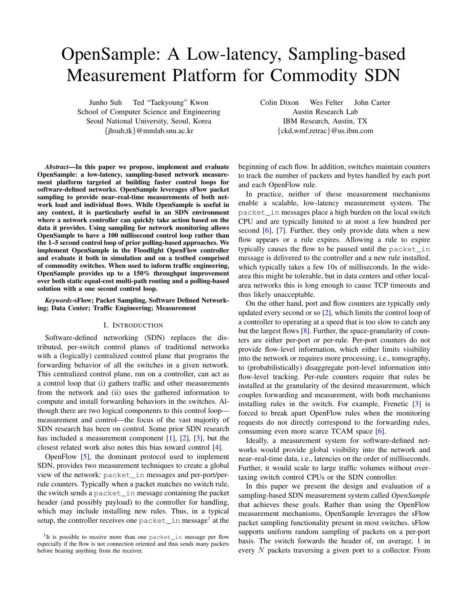# OpenSample: A Low-latency, Sampling-based Measurement Platform for Commodity SDN

Junho Suh Ted "Taekyoung" Kwon School of Computer Science and Engineering Seoul National University, Seoul, Korea {jhsuh,tk}@mmlab.snu.ac.kr

Colin Dixon Wes Felter John Carter Austin Research Lab IBM Research, Austin, TX {ckd,wmf,retrac}@us.ibm.com

*Abstract*—In this paper we propose, implement and evaluate OpenSample: a low-latency, sampling-based network measurement platform targeted at building faster control loops for software-defined networks. OpenSample leverages sFlow packet sampling to provide near–real-time measurements of both network load and individual flows. While OpenSample is useful in any context, it is particularly useful in an SDN environment where a network controller can quickly take action based on the data it provides. Using sampling for network monitoring allows OpenSample to have a 100 millisecond control loop rather than the 1–5 second control loop of prior polling-based approaches. We implement OpenSample in the Floodlight OpenFlow controller and evaluate it both in simulation and on a testbed comprised of commodity switches. When used to inform traffic engineering, OpenSample provides up to a 150% throughput improvement over both static equal-cost multi-path routing and a polling-based solution with a one second control loop.

*Keywords*-sFlow; Packet Sampling, Software Defined Networking; Data Center; Traffic Engineering; Measurement

## I. INTRODUCTION

Software-defined networking (SDN) replaces the distributed, per-switch control planes of traditional networks with a (logically) centralized control plane that programs the forwarding behavior of all the switches in a given network. This centralized control plane, run on a controller, can act as a control loop that (i) gathers traffic and other measurements from the network and (ii) uses the gathered information to compute and install forwarding behaviors in the switches. Although there are two logical components to this control loop measurement and control—the focus of the vast majority of SDN research has been on control. Some prior SDN research has included a measurement component [\[1\]](#page-9-0), [\[2\]](#page-9-1), [\[3\]](#page-9-2), but the closest related work also notes this bias toward control [\[4\]](#page-9-3).

OpenFlow [\[5\]](#page-9-4), the dominant protocol used to implement SDN, provides two measurement techniques to create a global view of the network: packet\_in messages and per-port/perrule counters. Typically when a packet matches no switch rule, the switch sends a packet\_in message containing the packet header (and possibly payload) to the controller for handling, which may include installing new rules. Thus, in a typical setup, the controller receives one packet\_in message<sup>[1](#page-0-0)</sup> at the beginning of each flow. In addition, switches maintain counters to track the number of packets and bytes handled by each port and each OpenFlow rule.

In practice, neither of these measurement mechanisms enable a scalable, low-latency measurement system. The packet\_in messages place a high burden on the local switch CPU and are typically limited to at most a few hundred per second [\[6\]](#page-9-5), [\[7\]](#page-9-6). Further, they only provide data when a new flow appears or a rule expires. Allowing a rule to expire typically causes the flow to be paused until the packet\_in message is delivered to the controller and a new rule installed, which typically takes a few 10s of milliseconds. In the widearea this might be tolerable, but in data centers and other localarea networks this is long enough to cause TCP timeouts and thus likely unacceptable.

On the other hand, port and flow counters are typically only updated every second or so [\[2\]](#page-9-1), which limits the control loop of a controller to operating at a speed that is too slow to catch any but the largest flows [\[8\]](#page-9-7). Further, the space-granularity of counters are either per-port or per-rule. Per-port counters do not provide flow-level information, which either limits visibility into the network or requires more processing, i.e., tomography, to (probabilistically) disaggregate port-level information into flow-level tracking. Per-rule counters require that rules be installed at the granularity of the desired measurement, which couples forwarding and measurement, with both mechanisms installing rules in the switch. For example, Frenetic [\[3\]](#page-9-2) is forced to break apart OpenFlow rules when the monitoring requests do not directly correspond to the forwarding rules, consuming even more scarce TCAM space [\[6\]](#page-9-5).

Ideally, a measurement system for software-defined networks would provide global visibility into the network and near–real-time data, i.e., latencies on the order of milliseconds. Further, it would scale to large traffic volumes without overtaxing switch control CPUs or the SDN controller.

In this paper we present the design and evaluation of a sampling-based SDN measurement system called *OpenSample* that achieves these goals. Rather than using the OpenFlow measurement mechanisms, OpenSample leverages the sFlow packet sampling functionality present in most switches. sFlow supports uniform random sampling of packets on a per-port basis. The switch forwards the header of, on average, 1 in every N packets traversing a given port to a collector. From

<span id="page-0-0"></span><sup>&</sup>lt;sup>1</sup>It is possible to receive more than one packet\_in message per flow especially if the flow is not connection oriented and thus sends many packets before hearing anything from the receiver.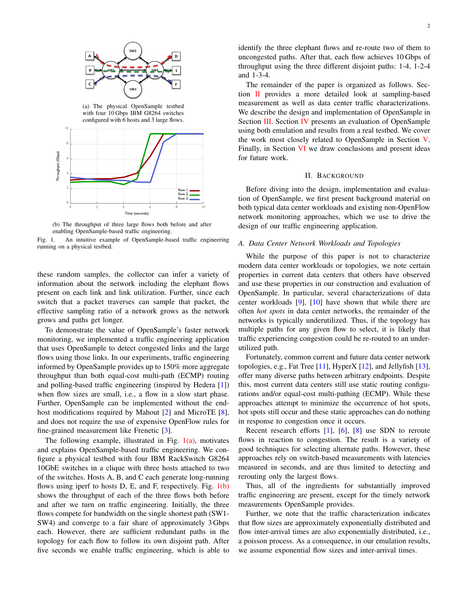<span id="page-1-0"></span>

<span id="page-1-1"></span>(b) The throughput of three large flows both before and after enabling OpenSample-based traffic engineering.

Fig. 1. An intuitive example of OpenSample-based traffic engineering running on a physical testbed.

these random samples, the collector can infer a variety of information about the network including the elephant flows present on each link and link utilization. Further, since each switch that a packet traverses can sample that packet, the effective sampling ratio of a network grows as the network grows and paths get longer.

To demonstrate the value of OpenSample's faster network monitoring, we implemented a traffic engineering application that uses OpenSample to detect congested links and the large flows using those links. In our experiments, traffic engineering informed by OpenSample provides up to 150% more aggregate throughput than both equal-cost multi-path (ECMP) routing and polling-based traffic engineering (inspired by Hedera [\[1\]](#page-9-0)) when flow sizes are small, i.e., a flow in a slow start phase. Further, OpenSample can be implemented without the end-host modifications required by Mahout [\[2\]](#page-9-1) and MicroTE [\[8\]](#page-9-7), and does not require the use of expensive OpenFlow rules for fine-grained measurement like Frenetic [\[3\]](#page-9-2).

The following example, illustrated in Fig.  $1(a)$ , motivates and explains OpenSample-based traffic engineering. We configure a physical testbed with four IBM RackSwitch G8264 10GbE switches in a clique with three hosts attached to two of the switches. Hosts A, B, and C each generate long-running flows using iperf to hosts D, E, and F, respectively. Fig.  $1(b)$ shows the throughput of each of the three flows both before and after we turn on traffic engineering. Initially, the three flows compete for bandwidth on the single shortest path (SW1- SW4) and converge to a fair share of approximately 3 Gbps each. However, there are sufficient redundant paths in the topology for each flow to follow its own disjoint path. After five seconds we enable traffic engineering, which is able to

identify the three elephant flows and re-route two of them to uncongested paths. After that, each flow achieves 10 Gbps of throughput using the three different disjoint paths: 1-4, 1-2-4 and 1-3-4.

The remainder of the paper is organized as follows. Section [II](#page-1-2) provides a more detailed look at sampling-based measurement as well as data center traffic characterizations. We describe the design and implementation of OpenSample in Section [III.](#page-3-0) Section [IV](#page-5-0) presents an evaluation of OpenSample using both emulation and results from a real testbed. We cover the work most closely related to OpenSample in Section [V.](#page-8-0) Finally, in Section [VI](#page-9-8) we draw conclusions and present ideas for future work.

## II. BACKGROUND

<span id="page-1-3"></span><span id="page-1-2"></span>Before diving into the design, implementation and evaluation of OpenSample, we first present background material on both typical data center workloads and existing non-OpenFlow network monitoring approaches, which we use to drive the design of our traffic engineering application.

## *A. Data Center Network Workloads and Topologies*

While the purpose of this paper is not to characterize modern data center workloads or topologies, we note certain properties in current data centers that others have observed and use these properties in our construction and evaluation of OpenSample. In particular, several characterizations of data center workloads  $[9]$ ,  $[10]$  have shown that while there are often *hot spots* in data center networks, the remainder of the networks is typically underutilized. Thus, if the topology has multiple paths for any given flow to select, it is likely that traffic experiencing congestion could be re-routed to an underutilized path.

Fortunately, common current and future data center network topologies, e.g., Fat Tree [\[11\]](#page-9-11), HyperX [\[12\]](#page-9-12), and Jellyfish [\[13\]](#page-9-13), offer many diverse paths between arbitrary endpoints. Despite this, most current data centers still use static routing configurations and/or equal-cost multi-pathing (ECMP). While these approaches attempt to minimize the occurrence of hot spots, hot spots still occur and these static approaches can do nothing in response to congestion once it occurs.

Recent research efforts [\[1\]](#page-9-0), [\[6\]](#page-9-5), [\[8\]](#page-9-7) use SDN to reroute flows in reaction to congestion. The result is a variety of good techniques for selecting alternate paths. However, these approaches rely on switch-based measurements with latencies measured in seconds, and are thus limited to detecting and rerouting only the largest flows.

Thus, all of the ingredients for substantially improved traffic engineering are present, except for the timely network measurements OpenSample provides.

Further, we note that the traffic characterization indicates that flow sizes are approximately exponentially distributed and flow inter-arrival times are also exponentially distributed, i.e., a poisson process. As a consequence, in our emulation results, we assume exponential flow sizes and inter-arrival times.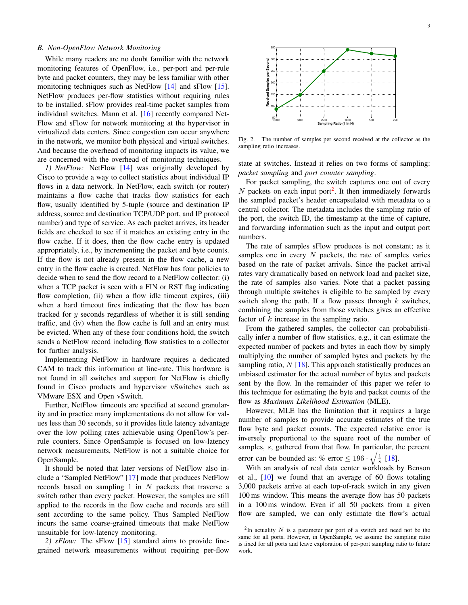#### *B. Non-OpenFlow Network Monitoring*

While many readers are no doubt familiar with the network monitoring features of OpenFlow, i.e., per-port and per-rule byte and packet counters, they may be less familiar with other monitoring techniques such as NetFlow [\[14\]](#page-9-14) and sFlow [\[15\]](#page-9-15). NetFlow produces per-flow statistics without requiring rules to be installed. sFlow provides real-time packet samples from individual switches. Mann et al. [\[16\]](#page-9-16) recently compared Net-Flow and sFlow for network monitoring at the hypervisor in virtualized data centers. Since congestion can occur anywhere in the network, we monitor both physical and virtual switches. And because the overhead of monitoring impacts its value, we are concerned with the overhead of monitoring techniques.

*1) NetFlow:* NetFlow [\[14\]](#page-9-14) was originally developed by Cisco to provide a way to collect statistics about individual IP flows in a data network. In NetFlow, each switch (or router) maintains a flow cache that tracks flow statistics for each flow, usually identified by 5-tuple (source and destination IP address, source and destination TCP/UDP port, and IP protocol number) and type of service. As each packet arrives, its header fields are checked to see if it matches an existing entry in the flow cache. If it does, then the flow cache entry is updated appropriately, i.e., by incrementing the packet and byte counts. If the flow is not already present in the flow cache, a new entry in the flow cache is created. NetFlow has four policies to decide when to send the flow record to a NetFlow collector: (i) when a TCP packet is seen with a FIN or RST flag indicating flow completion, (ii) when a flow idle timeout expires, (iii) when a hard timeout fires indicating that the flow has been tracked for  $y$  seconds regardless of whether it is still sending traffic, and (iv) when the flow cache is full and an entry must be evicted. When any of these four conditions hold, the switch sends a NetFlow record including flow statistics to a collector for further analysis.

Implementing NetFlow in hardware requires a dedicated CAM to track this information at line-rate. This hardware is not found in all switches and support for NetFlow is chiefly found in Cisco products and hypervisor vSwitches such as VMware ESX and Open vSwitch.

Further, NetFlow timeouts are specified at second granularity and in practice many implementations do not allow for values less than 30 seconds, so it provides little latency advantage over the low polling rates achievable using OpenFlow's perrule counters. Since OpenSample is focused on low-latency network measurements, NetFlow is not a suitable choice for OpenSample.

It should be noted that later versions of NetFlow also include a "Sampled NetFlow" [\[17\]](#page-9-17) mode that produces NetFlow records based on sampling  $1$  in  $N$  packets that traverse a switch rather than every packet. However, the samples are still applied to the records in the flow cache and records are still sent according to the same policy. Thus Sampled NetFlow incurs the same coarse-grained timeouts that make NetFlow unsuitable for low-latency monitoring.

<span id="page-2-2"></span>*2) sFlow:* The sFlow [\[15\]](#page-9-15) standard aims to provide finegrained network measurements without requiring per-flow

<span id="page-2-1"></span>

Fig. 2. The number of samples per second received at the collector as the sampling ratio increases.

state at switches. Instead it relies on two forms of sampling: *packet sampling* and *port counter sampling*.

For packet sampling, the switch captures one out of every  $N$  packets on each input port<sup>[2](#page-2-0)</sup>. It then immediately forwards the sampled packet's header encapsulated with metadata to a central collector. The metadata includes the sampling ratio of the port, the switch ID, the timestamp at the time of capture, and forwarding information such as the input and output port numbers.

The rate of samples sFlow produces is not constant; as it samples one in every  $N$  packets, the rate of samples varies based on the rate of packet arrivals. Since the packet arrival rates vary dramatically based on network load and packet size, the rate of samples also varies. Note that a packet passing through multiple switches is eligible to be sampled by every switch along the path. If a flow passes through  $k$  switches, combining the samples from those switches gives an effective factor of  $k$  increase in the sampling ratio.

From the gathered samples, the collector can probabilistically infer a number of flow statistics, e.g., it can estimate the expected number of packets and bytes in each flow by simply multiplying the number of sampled bytes and packets by the sampling ratio,  $N$  [\[18\]](#page-9-18). This approach statistically produces an unbiased estimator for the actual number of bytes and packets sent by the flow. In the remainder of this paper we refer to this technique for estimating the byte and packet counts of the flow as *Maximum Likelihood Estimation* (MLE).

However, MLE has the limitation that it requires a large number of samples to provide accurate estimates of the true flow byte and packet counts. The expected relative error is inversely proportional to the square root of the number of samples, s, gathered from that flow. In particular, the percent error can be bounded as: % error  $\leq 196 \cdot \sqrt{\frac{1}{s}}$  [\[18\]](#page-9-18).

With an analysis of real data center workloads by Benson et al., [\[10\]](#page-9-10) we found that an average of 60 flows totaling 3,000 packets arrive at each top-of-rack switch in any given 100 ms window. This means the average flow has 50 packets in a 100 ms window. Even if all 50 packets from a given flow are sampled, we can only estimate the flow's actual

<span id="page-2-0"></span><sup>&</sup>lt;sup>2</sup>In actuality N is a parameter per port of a switch and need not be the same for all ports. However, in OpenSample, we assume the sampling ratio is fixed for all ports and leave exploration of per-port sampling ratio to future work.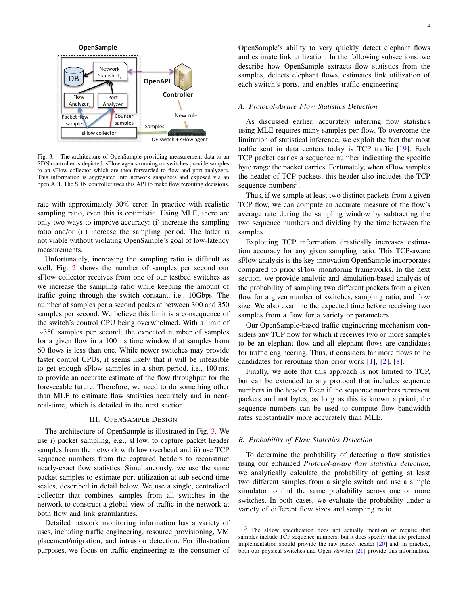

Fig. 3. The architecture of OpenSample providing measurement data to an SDN controller is depicted. sFlow agents running on switches provide samples to an sFlow collector which are then forwarded to flow and port analyzers. This information is aggregated into network snapshots and exposed via an open API. The SDN controller uses this API to make flow rerouting decisions.

rate with approximately 30% error. In practice with realistic sampling ratio, even this is optimistic. Using MLE, there are only two ways to improve accuracy: (i) increase the sampling ratio and/or (ii) increase the sampling period. The latter is not viable without violating OpenSample's goal of low-latency measurements.

Unfortunately, increasing the sampling ratio is difficult as well. Fig. [2](#page-2-1) shows the number of samples per second our sFlow collector receives from one of our testbed switches as we increase the sampling ratio while keeping the amount of traffic going through the switch constant, i.e., 10Gbps. The number of samples per a second peaks at between 300 and 350 samples per second. We believe this limit is a consequence of the switch's control CPU being overwhelmed. With a limit of  $\sim$ 350 samples per second, the expected number of samples for a given flow in a 100 ms time window that samples from 60 flows is less than one. While newer switches may provide faster control CPUs, it seems likely that it will be infeasible to get enough sFlow samples in a short period, i.e., 100 ms, to provide an accurate estimate of the flow throughput for the foreseeable future. Therefore, we need to do something other than MLE to estimate flow statistics accurately and in nearreal-time, which is detailed in the next section.

## III. OPENSAMPLE DESIGN

<span id="page-3-0"></span>The architecture of OpenSample is illustrated in Fig. [3.](#page-3-1) We use i) packet sampling, e.g., sFlow, to capture packet header samples from the network with low overhead and ii) use TCP sequence numbers from the captured headers to reconstruct nearly-exact flow statistics. Simultaneously, we use the same packet samples to estimate port utilization at sub-second time scales, described in detail below. We use a single, centralized collector that combines samples from all switches in the network to construct a global view of traffic in the network at both flow and link granularities.

Detailed network monitoring information has a variety of uses, including traffic engineering, resource provisioning, VM placement/migration, and intrusion detection. For illustration purposes, we focus on traffic engineering as the consumer of

OpenSample's ability to very quickly detect elephant flows and estimate link utilization. In the following subsections, we describe how OpenSample extracts flow statistics from the samples, detects elephant flows, estimates link utilization of each switch's ports, and enables traffic engineering.

# *A. Protocol-Aware Flow Statistics Detection*

<span id="page-3-1"></span>As discussed earlier, accurately inferring flow statistics using MLE requires many samples per flow. To overcome the limitation of statistical inference, we exploit the fact that most traffic sent in data centers today is TCP traffic [\[19\]](#page-9-19). Each TCP packet carries a sequence number indicating the specific byte range the packet carries. Fortunately, when sFlow samples the header of TCP packets, this header also includes the TCP sequence numbers<sup>[3](#page-3-2)</sup>.

Thus, if we sample at least two distinct packets from a given TCP flow, we can compute an accurate measure of the flow's average rate during the sampling window by subtracting the two sequence numbers and dividing by the time between the samples.

Exploiting TCP information drastically increases estimation accuracy for any given sampling ratio. This TCP-aware sFlow analysis is the key innovation OpenSample incorporates compared to prior sFlow monitoring frameworks. In the next section, we provide analytic and simulation-based analysis of the probability of sampling two different packets from a given flow for a given number of switches, sampling ratio, and flow size. We also examine the expected time before receiving two samples from a flow for a variety or parameters.

Our OpenSample-based traffic engineering mechanism considers any TCP flow for which it receives two or more samples to be an elephant flow and all elephant flows are candidates for traffic engineering. Thus, it considers far more flows to be candidates for rerouting than prior work [\[1\]](#page-9-0), [\[2\]](#page-9-1), [\[8\]](#page-9-7).

Finally, we note that this approach is not limited to TCP, but can be extended to any protocol that includes sequence numbers in the header. Even if the sequence numbers represent packets and not bytes, as long as this is known a priori, the sequence numbers can be used to compute flow bandwidth rates substantially more accurately than MLE.

## *B. Probability of Flow Statistics Detection*

To determine the probability of detecting a flow statistics using our enhanced *Protocol-aware flow statistics detection*, we analytically calculate the probability of getting at least two different samples from a single switch and use a simple simulator to find the same probability across one or more switches. In both cases, we evaluate the probability under a variety of different flow sizes and sampling ratio.

<span id="page-3-2"></span><sup>&</sup>lt;sup>3</sup> The sFlow specification does not actually mention or require that samples include TCP sequence numbers, but it does specify that the preferred implementation should provide the raw packet header [\[20\]](#page-9-20) and, in practice, both our physical switches and Open vSwitch [\[21\]](#page-9-21) provide this information.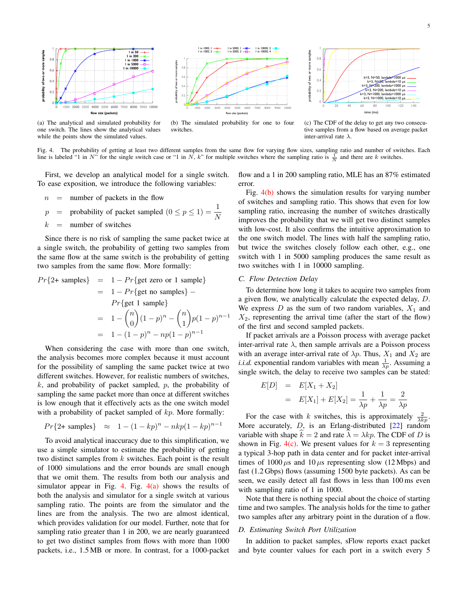<span id="page-4-1"></span>

one switch. The lines show the analytical values

while the points show the simulated values.

I in 10000, 2<br>I in 10000, 4 ≛ samples probability of two or more

<span id="page-4-2"></span>(b) The simulated probability for one to four switches.

<span id="page-4-3"></span>(c) The CDF of the delay to get any two consecutive samples from a flow based on average packet inter-arrival rate  $\lambda$ .

k=3, N=50, la

80

time (ms)

 $k=3$ ,  $N=50$ , lampaa=1000 ps<br> $k=3$ ,  $N=50$ , lambda=10 ps<br> $k=3$ ,  $N=200$ , lambda=1000 ps<br> $k=3$ ,  $N=200$ , lambda=10 ps

 $= 3. N = 1000$ . lambda=1000 us  $k=3. N=1000. h$ 

 $= 1000 u$ 

<span id="page-4-0"></span> $a=10$ 

Fig. 4. The probability of getting at least two different samples from the same flow for varying flow sizes, sampling ratio and number of switches. Each line is labeled "1 in N" for the single switch case or "1 in N, k" for multiple switches where the sampling ratio is  $\frac{1}{N}$  and there are k switches.

First, we develop an analytical model for a single switch. To ease exposition, we introduce the following variables:

number of packets in the flow  $\boldsymbol{n}$  $\!\!\!=\!\!\!$ 

$$
p
$$
 = probability of packet sampled  $(0 \le p \le 1) = \frac{1}{N}$ 

 $\boldsymbol{k}$ number of switches  $=$ 

Since there is no risk of sampling the same packet twice at a single switch, the probability of getting two samples from the same flow at the same switch is the probability of getting two samples from the same flow. More formally:

$$
Pr{2 + \text{samples}} = 1 - Pr{get zero or 1 sample}
$$
  
= 1 - Pr{get no samples} -  

$$
Pr{get 1 sample}
$$
  
= 1 -  $\binom{n}{0} (1 - p)^n - \binom{n}{1} p (1 - p)^{n-1}$   
= 1 - (1 - p)<sup>n</sup> - np(1 - p)<sup>n-1</sup>

When considering the case with more than one switch, the analysis becomes more complex because it must account for the possibility of sampling the same packet twice at two different switches. However, for realistic numbers of switches, k, and probability of packet sampled, p, the probability of sampling the same packet more than once at different switches is low enough that it effectively acts as the one switch model with a probability of packet sampled of  $kp$ . More formally:

$$
Pr{2 + \text{samples}}
$$
  $\approx 1 - (1 - kp)^n - nkp(1 - kp)^{n-1}$ 

To avoid analytical inaccuracy due to this simplification, we use a simple simulator to estimate the probability of getting two distinct samples from  $k$  switches. Each point is the result of 1000 simulations and the error bounds are small enough that we omit them. The results from both our analysis and simulator appear in Fig. 4. Fig.  $4(a)$  shows the results of both the analysis and simulator for a single switch at various sampling ratio. The points are from the simulator and the lines are from the analysis. The two are almost identical, which provides validation for our model. Further, note that for sampling ratio greater than 1 in 200, we are nearly guaranteed to get two distinct samples from flows with more than 1000 packets, i.e., 1.5 MB or more. In contrast, for a 1000-packet flow and a 1 in 200 sampling ratio, MLE has an 87% estimated error.

 $0.6$ 

 $\Delta$ 

 $\overline{0}$ .

Fig.  $4(b)$  shows the simulation results for varying number of switches and sampling ratio. This shows that even for low sampling ratio, increasing the number of switches drastically improves the probability that we will get two distinct samples with low-cost. It also confirms the intuitive approximation to the one switch model. The lines with half the sampling ratio, but twice the switches closely follow each other, e.g., one switch with 1 in 5000 sampling produces the same result as two switches with 1 in 10000 sampling.

# C. Flow Detection Delay

To determine how long it takes to acquire two samples from a given flow, we analytically calculate the expected delay,  $D$ . We express  $D$  as the sum of two random variables,  $X_1$  and  $X_2$ , representing the arrival time (after the start of the flow) of the first and second sampled packets.

If packet arrivals are a Poisson process with average packet inter-arrival rate  $\lambda$ , then sample arrivals are a Poisson process with an average inter-arrival rate of  $\lambda p$ . Thus,  $X_1$  and  $X_2$  are *i.i.d.* exponential random variables with mean  $\frac{1}{\lambda p}$ . Assuming a single switch, the delay to receive two samples can be stated:

$$
E[D] = E[X_1 + X_2]
$$
  
=  $E[X_1] + E[X_2] = \frac{1}{\lambda p} + \frac{1}{\lambda p} = \frac{2}{\lambda p}$ 

For the case with k switches, this is approximately  $\frac{2}{\lambda k v}$ . More accurately,  $D$ , is an Erlang-distributed  $[22]$  random variable with shape  $k = 2$  and rate  $\lambda = \lambda k p$ . The CDF of D is shown in Fig. 4(c). We present values for  $k = 3$  representing a typical 3-hop path in data center and for packet inter-arrival times of  $1000 \mu s$  and  $10 \mu s$  representing slow (12 Mbps) and fast (1.2 Gbps) flows (assuming 1500 byte packets). As can be seen, we easily detect all fast flows in less than 100 ms even with sampling ratio of 1 in  $1000$ .

Note that there is nothing special about the choice of starting time and two samples. The analysis holds for the time to gather two samples after any arbitrary point in the duration of a flow.

## D. Estimating Switch Port Utilization

In addition to packet samples, sFlow reports exact packet and byte counter values for each port in a switch every 5

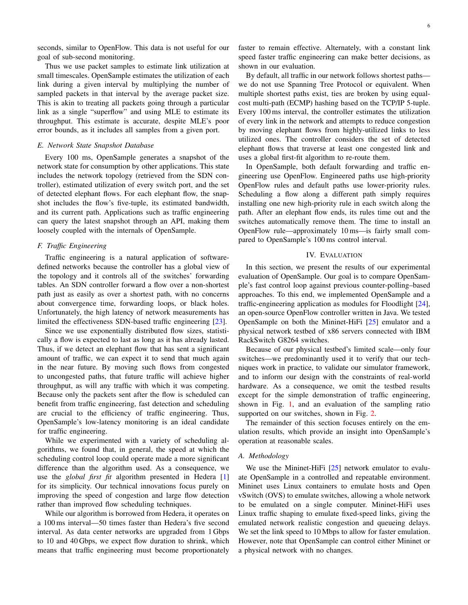seconds, similar to OpenFlow. This data is not useful for our goal of sub-second monitoring.

Thus we use packet samples to estimate link utilization at small timescales. OpenSample estimates the utilization of each link during a given interval by multiplying the number of sampled packets in that interval by the average packet size. This is akin to treating all packets going through a particular link as a single "superflow" and using MLE to estimate its throughput. This estimate is accurate, despite MLE's poor error bounds, as it includes all samples from a given port.

#### *E. Network State Snapshot Database*

Every 100 ms, OpenSample generates a snapshot of the network state for consumption by other applications. This state includes the network topology (retrieved from the SDN controller), estimated utilization of every switch port, and the set of detected elephant flows. For each elephant flow, the snapshot includes the flow's five-tuple, its estimated bandwidth, and its current path. Applications such as traffic engineering can query the latest snapshot through an API, making them loosely coupled with the internals of OpenSample.

### *F. Traffic Engineering*

Traffic engineering is a natural application of softwaredefined networks because the controller has a global view of the topology and it controls all of the switches' forwarding tables. An SDN controller forward a flow over a non-shortest path just as easily as over a shortest path, with no concerns about convergence time, forwarding loops, or black holes. Unfortunately, the high latency of network measurements has limited the effectiveness SDN-based traffic engineering [\[23\]](#page-9-23).

Since we use exponentially distributed flow sizes, statistically a flow is expected to last as long as it has already lasted. Thus, if we detect an elephant flow that has sent a significant amount of traffic, we can expect it to send that much again in the near future. By moving such flows from congested to uncongested paths, that future traffic will achieve higher throughput, as will any traffic with which it was competing. Because only the packets sent after the flow is scheduled can benefit from traffic engineering, fast detection and scheduling are crucial to the efficiency of traffic engineering. Thus, OpenSample's low-latency monitoring is an ideal candidate for traffic engineering.

While we experimented with a variety of scheduling algorithms, we found that, in general, the speed at which the scheduling control loop could operate made a more significant difference than the algorithm used. As a consequence, we use the *global first fit* algorithm presented in Hedera [\[1\]](#page-9-0) for its simplicity. Our technical innovations focus purely on improving the speed of congestion and large flow detection rather than improved flow scheduling techniques.

While our algorithm is borrowed from Hedera, it operates on a 100 ms interval—50 times faster than Hedera's five second interval. As data center networks are upgraded from 1 Gbps to 10 and 40 Gbps, we expect flow duration to shrink, which means that traffic engineering must become proportionately faster to remain effective. Alternately, with a constant link speed faster traffic engineering can make better decisions, as shown in our evaluation.

By default, all traffic in our network follows shortest paths we do not use Spanning Tree Protocol or equivalent. When multiple shortest paths exist, ties are broken by using equalcost multi-path (ECMP) hashing based on the TCP/IP 5-tuple. Every 100 ms interval, the controller estimates the utilization of every link in the network and attempts to reduce congestion by moving elephant flows from highly-utilized links to less utilized ones. The controller considers the set of detected elephant flows that traverse at least one congested link and uses a global first-fit algorithm to re-route them.

In OpenSample, both default forwarding and traffic engineering use OpenFlow. Engineered paths use high-priority OpenFlow rules and default paths use lower-priority rules. Scheduling a flow along a different path simply requires installing one new high-priority rule in each switch along the path. After an elephant flow ends, its rules time out and the switches automatically remove them. The time to install an OpenFlow rule—approximately 10 ms—is fairly small compared to OpenSample's 100 ms control interval.

## IV. EVALUATION

<span id="page-5-0"></span>In this section, we present the results of our experimental evaluation of OpenSample. Our goal is to compare OpenSample's fast control loop against previous counter-polling–based approaches. To this end, we implemented OpenSample and a traffic-engineering application as modules for Floodlight [\[24\]](#page-9-24), an open-source OpenFlow controller written in Java. We tested OpenSample on both the Mininet-HiFi [\[25\]](#page-9-25) emulator and a physical network testbed of x86 servers connected with IBM RackSwitch G8264 switches.

Because of our physical testbed's limited scale—only four switches—we predominantly used it to verify that our techniques work in practice, to validate our simulator framework, and to inform our design with the constraints of real-world hardware. As a consequence, we omit the testbed results except for the simple demonstration of traffic engineering, shown in Fig. [1,](#page-1-3) and an evaluation of the sampling ratio supported on our switches, shown in Fig. [2.](#page-2-1)

The remainder of this section focuses entirely on the emulation results, which provide an insight into OpenSample's operation at reasonable scales.

#### *A. Methodology*

We use the Mininet-HiFi [\[25\]](#page-9-25) network emulator to evaluate OpenSample in a controlled and repeatable environment. Mininet uses Linux containers to emulate hosts and Open vSwitch (OVS) to emulate switches, allowing a whole network to be emulated on a single computer. Mininet-HiFi uses Linux traffic shaping to emulate fixed-speed links, giving the emulated network realistic congestion and queueing delays. We set the link speed to 10 Mbps to allow for faster emulation. However, note that OpenSample can control either Mininet or a physical network with no changes.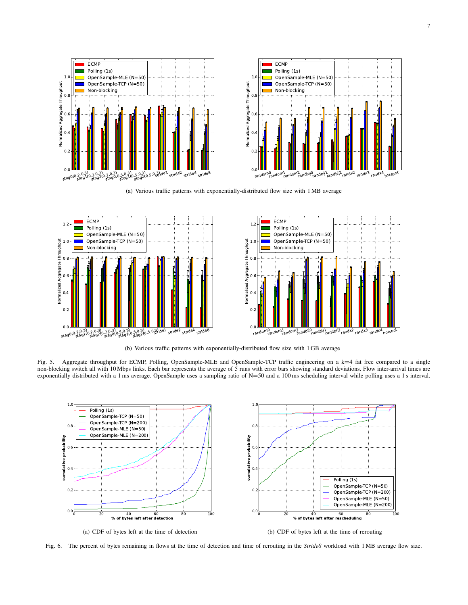

<span id="page-6-1"></span>

(a) Various traffic patterns with exponentially-distributed flow size with 1 MB average

<span id="page-6-2"></span>

<span id="page-6-0"></span>

(b) Various traffic patterns with exponentially-distributed flow size with 1 GB average

Fig. 5. Aggregate throughput for ECMP, Polling, OpenSample-MLE and OpenSample-TCP traffic engineering on a k=4 fat free compared to a single non-blocking switch all with 10 Mbps links. Each bar represents the average of 5 runs with error bars showing standard deviations. Flow inter-arrival times are exponentially distributed with a 1 ms average. OpenSample uses a sampling ratio of N=50 and a 100 ms scheduling interval while polling uses a 1 s interval.



(a) CDF of bytes left at the time of detection

<span id="page-6-5"></span><span id="page-6-3"></span>(b) CDF of bytes left at the time of rerouting

<span id="page-6-4"></span>Fig. 6. The percent of bytes remaining in flows at the time of detection and time of rerouting in the *Stride8* workload with 1 MB average flow size.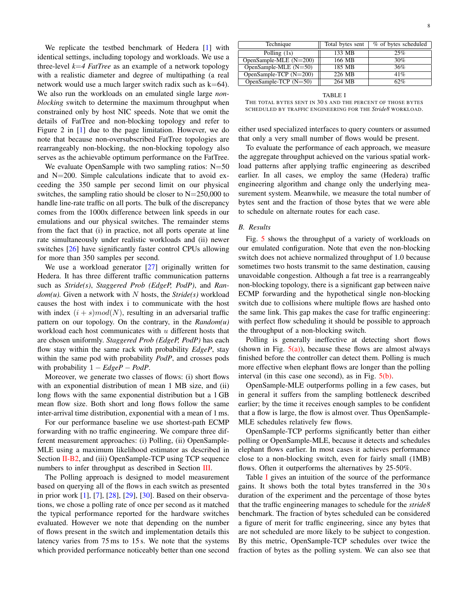We replicate the testbed benchmark of Hedera [\[1\]](#page-9-0) with identical settings, including topology and workloads. We use a three-level  $k=4$  FatTree as an example of a network topology with a realistic diameter and degree of multipathing (a real network would use a much larger switch radix such as  $k=64$ ). We also run the workloads on an emulated single large *nonblocking* switch to determine the maximum throughput when constrained only by host NIC speeds. Note that we omit the details of FatTree and non-blocking topology and refer to Figure 2 in [\[1\]](#page-9-0) due to the page limitation. However, we do note that because non-oversubscribed FatTree topologies are rearrangeably non-blocking, the non-blocking topology also serves as the achievable optimum performance on the FatTree.

We evaluate OpenSample with two sampling ratios:  $N=50$ and N=200. Simple calculations indicate that to avoid exceeding the 350 sample per second limit on our physical switches, the sampling ratio should be closer to  $N=250,000$  to handle line-rate traffic on all ports. The bulk of the discrepancy comes from the 1000x difference between link speeds in our emulations and our physical switches. The remainder stems from the fact that (i) in practice, not all ports operate at line rate simultaneously under realistic workloads and (ii) newer switches [\[26\]](#page-9-26) have significantly faster control CPUs allowing for more than 350 samples per second.

We use a workload generator [\[27\]](#page-9-27) originally written for Hedera. It has three different traffic communication patterns such as *Stride(s)*, *Staggered Prob (EdgeP, PodP)*, and *Random(u).* Given a network with N hosts, the *Stride(s)* workload causes the host with index i to communicate with the host with index  $(i + s) \text{mod}(N)$ , resulting in an adversarial traffic pattern on our topology. On the contrary, in the *Random(u)* workload each host communicates with  $u$  different hosts that are chosen uniformly. *Staggered Prob (EdgeP, PodP)* has each flow stay within the same rack with probability *EdgeP*, stay within the same pod with probability *PodP*, and crosses pods with probability 1 − *EdgeP* − *PodP*.

Moreover, we generate two classes of flows: (i) short flows with an exponential distribution of mean 1 MB size, and (ii) long flows with the same exponential distribution but a 1 GB mean flow size. Both short and long flows follow the same inter-arrival time distribution, exponential with a mean of 1 ms.

For our performance baseline we use shortest-path ECMP forwarding with no traffic engineering. We compare three different measurement approaches: (i) Polling, (ii) OpenSample-MLE using a maximum likelihood estimator as described in Section [II-B2,](#page-2-2) and (iii) OpenSample-TCP using TCP sequence numbers to infer throughput as described in Section [III.](#page-3-0)

The Polling approach is designed to model measurement based on querying all of the flows in each switch as presented in prior work [\[1\]](#page-9-0), [\[7\]](#page-9-6), [\[28\]](#page-9-28), [\[29\]](#page-9-29), [\[30\]](#page-9-30). Based on their observations, we chose a polling rate of once per second as it matched the typical performance reported for the hardware switches evaluated. However we note that depending on the number of flows present in the switch and implementation details this latency varies from 75 ms to 15 s. We note that the systems which provided performance noticeably better than one second

| Technique                | Total bytes sent | % of bytes scheduled |
|--------------------------|------------------|----------------------|
| Polling $(1s)$           | 133 MB           | 25%                  |
| OpenSample-MLE $(N=200)$ | 166 MB           | 30%                  |
| OpenSample-MLE $(N=50)$  | 185 MB           | 36%                  |
| OpenSample-TCP $(N=200)$ | 226 MB           | 41%                  |
| OpenSample-TCP $(N=50)$  | 264 MB           | 62%                  |

<span id="page-7-0"></span>TABLE I THE TOTAL BYTES SENT IN 30 S AND THE PERCENT OF THOSE BYTES SCHEDULED BY TRAFFIC ENGINEERING FOR THE *Stride8* WORKLOAD.

either used specialized interfaces to query counters or assumed that only a very small number of flows would be present.

To evaluate the performance of each approach, we measure the aggregate throughput achieved on the various spatial workload patterns after applying traffic engineering as described earlier. In all cases, we employ the same (Hedera) traffic engineering algorithm and change only the underlying measurement system. Meanwhile, we measure the total number of bytes sent and the fraction of those bytes that we were able to schedule on alternate routes for each case.

## *B. Results*

Fig. [5](#page-6-0) shows the throughput of a variety of workloads on our emulated configuration. Note that even the non-blocking switch does not achieve normalized throughput of 1.0 because sometimes two hosts transmit to the same destination, causing unavoidable congestion. Although a fat tree is a rearrangeably non-blocking topology, there is a significant gap between naive ECMP forwarding and the hypothetical single non-blocking switch due to collisions where multiple flows are hashed onto the same link. This gap makes the case for traffic engineering: with perfect flow scheduling it should be possible to approach the throughput of a non-blocking switch.

Polling is generally ineffective at detecting short flows (shown in Fig.  $5(a)$ ), because these flows are almost always finished before the controller can detect them. Polling is much more effective when elephant flows are longer than the polling interval (in this case one second), as in Fig.  $5(b)$ .

OpenSample-MLE outperforms polling in a few cases, but in general it suffers from the sampling bottleneck described earlier; by the time it receives enough samples to be confident that a flow is large, the flow is almost over. Thus OpenSample-MLE schedules relatively few flows.

OpenSample-TCP performs significantly better than either polling or OpenSample-MLE, because it detects and schedules elephant flows earlier. In most cases it achieves performance close to a non-blocking switch, even for fairly small (1MB) flows. Often it outperforms the alternatives by 25-50%.

Table [I](#page-7-0) gives an intuition of the source of the performance gains. It shows both the total bytes transferred in the 30 s duration of the experiment and the percentage of those bytes that the traffic engineering manages to schedule for the *stride8* benchmark. The fraction of bytes scheduled can be considered a figure of merit for traffic engineering, since any bytes that are not scheduled are more likely to be subject to congestion. By this metric, OpenSample-TCP schedules over twice the fraction of bytes as the polling system. We can also see that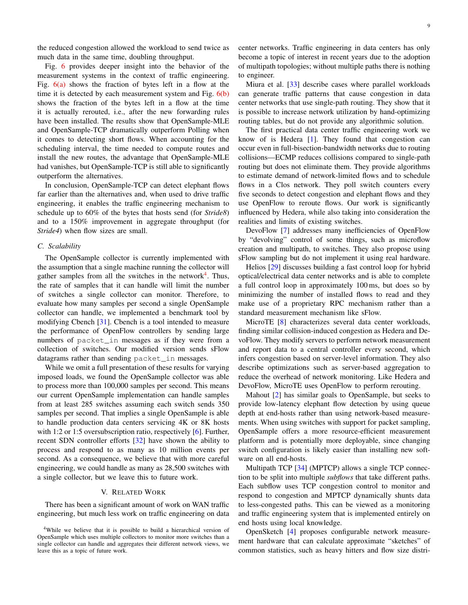the reduced congestion allowed the workload to send twice as much data in the same time, doubling throughput.

Fig. [6](#page-6-3) provides deeper insight into the behavior of the measurement systems in the context of traffic engineering. Fig.  $6(a)$  shows the fraction of bytes left in a flow at the time it is detected by each measurement system and Fig.  $6(b)$ shows the fraction of the bytes left in a flow at the time it is actually rerouted, i.e., after the new forwarding rules have been installed. The results show that OpenSample-MLE and OpenSample-TCP dramatically outperform Polling when it comes to detecting short flows. When accounting for the scheduling interval, the time needed to compute routes and install the new routes, the advantage that OpenSample-MLE had vanishes, but OpenSample-TCP is still able to significantly outperform the alternatives.

In conclusion, OpenSample-TCP can detect elephant flows far earlier than the alternatives and, when used to drive traffic engineering, it enables the traffic engineering mechanism to schedule up to 60% of the bytes that hosts send (for *Stride8*) and to a 150% improvement in aggregate throughput (for *Stride4*) when flow sizes are small.

#### *C. Scalability*

The OpenSample collector is currently implemented with the assumption that a single machine running the collector will gather samples from all the switches in the network<sup>[4](#page-8-1)</sup>. Thus, the rate of samples that it can handle will limit the number of switches a single collector can monitor. Therefore, to evaluate how many samples per second a single OpenSample collector can handle, we implemented a benchmark tool by modifying Cbench [\[31\]](#page-9-31). Cbench is a tool intended to measure the performance of OpenFlow controllers by sending large numbers of packet\_in messages as if they were from a collection of switches. Our modified version sends sFlow datagrams rather than sending packet in messages.

While we omit a full presentation of these results for varying imposed loads, we found the OpenSample collector was able to process more than 100,000 samples per second. This means our current OpenSample implementation can handle samples from at least 285 switches assuming each switch sends 350 samples per second. That implies a single OpenSample is able to handle production data centers servicing 4K or 8K hosts with 1:2 or 1:5 oversubscription ratio, respectively [\[6\]](#page-9-5). Further, recent SDN controller efforts [\[32\]](#page-9-32) have shown the ability to process and respond to as many as 10 million events per second. As a consequence, we believe that with more careful engineering, we could handle as many as 28,500 switches with a single collector, but we leave this to future work.

## V. RELATED WORK

<span id="page-8-0"></span>There has been a significant amount of work on WAN traffic engineering, but much less work on traffic engineering on data center networks. Traffic engineering in data centers has only become a topic of interest in recent years due to the adoption of multipath topologies; without multiple paths there is nothing to engineer.

Miura et al. [\[33\]](#page-9-33) describe cases where parallel workloads can generate traffic patterns that cause congestion in data center networks that use single-path routing. They show that it is possible to increase network utilization by hand-optimizing routing tables, but do not provide any algorithmic solution.

The first practical data center traffic engineering work we know of is Hedera [\[1\]](#page-9-0). They found that congestion can occur even in full-bisection-bandwidth networks due to routing collisions—ECMP reduces collisions compared to single-path routing but does not eliminate them. They provide algorithms to estimate demand of network-limited flows and to schedule flows in a Clos network. They poll switch counters every five seconds to detect congestion and elephant flows and they use OpenFlow to reroute flows. Our work is significantly influenced by Hedera, while also taking into consideration the realities and limits of existing switches.

DevoFlow [\[7\]](#page-9-6) addresses many inefficiencies of OpenFlow by "devolving" control of some things, such as microflow creation and multipath, to switches. They also propose using sFlow sampling but do not implement it using real hardware.

Helios [\[29\]](#page-9-29) discusses building a fast control loop for hybrid optical/electrical data center networks and is able to complete a full control loop in approximately 100 ms, but does so by minimizing the number of installed flows to read and they make use of a proprietary RPC mechanism rather than a standard measurement mechanism like sFlow.

MicroTE [\[8\]](#page-9-7) characterizes several data center workloads, finding similar collision-induced congestion as Hedera and DevoFlow. They modify servers to perform network measurement and report data to a central controller every second, which infers congestion based on server-level information. They also describe optimizations such as server-based aggregation to reduce the overhead of network monitoring. Like Hedera and DevoFlow, MicroTE uses OpenFlow to perform rerouting.

Mahout [\[2\]](#page-9-1) has similar goals to OpenSample, but seeks to provide low-latency elephant flow detection by using queue depth at end-hosts rather than using network-based measurements. When using switches with support for packet sampling, OpenSample offers a more resource-efficient measurement platform and is potentially more deployable, since changing switch configuration is likely easier than installing new software on all end-hosts.

Multipath TCP [\[34\]](#page-9-34) (MPTCP) allows a single TCP connection to be split into multiple *subflows* that take different paths. Each subflow uses TCP congestion control to monitor and respond to congestion and MPTCP dynamically shunts data to less-congested paths. This can be viewed as a monitoring and traffic engineering system that is implemented entirely on end hosts using local knowledge.

OpenSketch [\[4\]](#page-9-3) proposes configurable network measurement hardware that can calculate approximate "sketches" of common statistics, such as heavy hitters and flow size distri-

<span id="page-8-1"></span><sup>&</sup>lt;sup>4</sup>While we believe that it is possible to build a hierarchical version of OpenSample which uses multiple collectors to monitor more switches than a single collector can handle and aggregates their different network views, we leave this as a topic of future work.